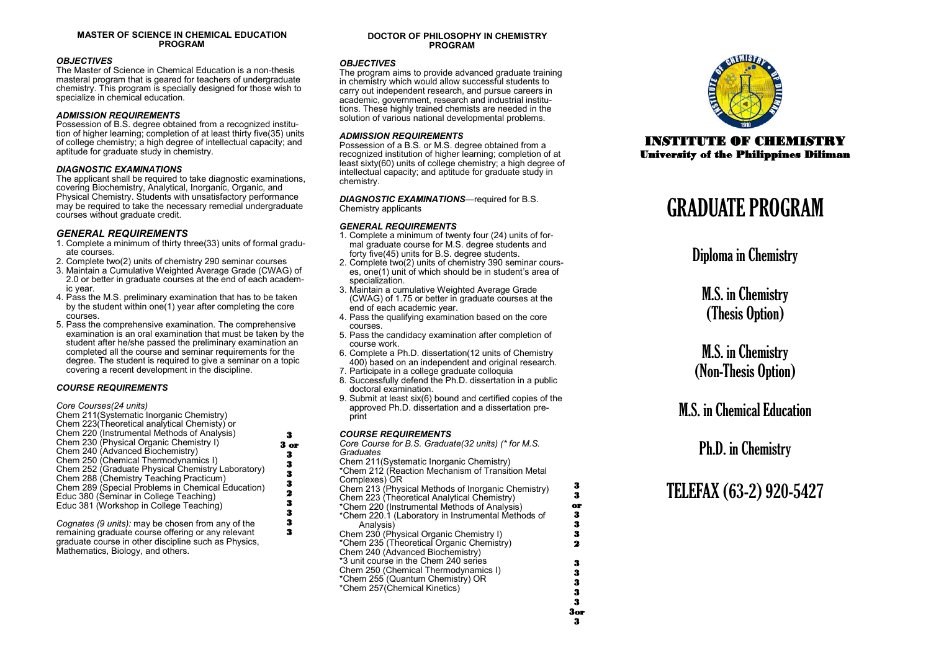#### **MASTER OF SCIENCE IN CHEMICAL EDUCATION PROGRAM**

#### *OBJECTIVES*

The Master of Science in Chemical Education is a non-thesis masteral program that is geared for teachers of undergraduate chemistry. This program is specially designed for those wish to specialize in chemical education.

#### *ADMISSION REQUIREMENTS*

Possession of B.S. degree obtained from a recognized institution of higher learning; completion of at least thirty five(35) units of college chemistry; a high degree of intellectual capacity; and aptitude for graduate study in chemistry.

#### *DIAGNOSTIC EXAMINATIONS*

The applicant shall be required to take diagnostic examinations, covering Biochemistry, Analytical, Inorganic, Organic, and Physical Chemistry. Students with unsatisfactory performance may be required to take the necessary remedial undergraduate courses without graduate credit.

#### *GENERAL REQUIREMENTS*

- 1. Complete a minimum of thirty three(33) units of formal graduate courses.
- 2. Complete two(2) units of chemistry 290 seminar courses
- 3. Maintain a Cumulative Weighted Average Grade (CWAG) of 2.0 or better in graduate courses at the end of each academic year.
- 4. Pass the M.S. preliminary examination that has to be taken by the student within one(1) year after completing the core courses.
- 5. Pass the comprehensive examination. The comprehensive examination is an oral examination that must be taken by the student after he/she passed the preliminary examination an completed all the course and seminar requirements for the degree. The student is required to give a seminar on a topic covering a recent development in the discipline.

#### *COURSE REQUIREMENTS*

#### *Core Courses(24 units)*

- Chem 211(Systematic Inorganic Chemistry)
- Chem 223(Theoretical analytical Chemisty) or Chem 220 (Instrumental Methods of Analysis)
- Chem 230 (Physical Organic Chemistry I)
- Chem 240 (Advanced Biochemistry) Chem 250 (Chemical Thermodynamics I)
- Chem 252 (Graduate Physical Chemistry Laboratory)
- Chem 288 (Chemistry Teaching Practicum)
- Chem 289 (Special Problems in Chemical Education)
- Educ 380 (Seminar in College Teaching)
- Educ 381 (Workshop in College Teaching)

*Cognates (9 units):* may be chosen from any of the remaining graduate course offering or any relevant graduate course in other discipline such as Physics, Mathematics, Biology, and others.

#### **DOCTOR OF PHILOSOPHY IN CHEMISTRY PROGRAM**

#### *OBJECTIVES*

The program aims to provide advanced graduate training in chemistry which would allow successful students to carry out independent research, and pursue careers in academic, government, research and industrial institutions. These highly trained chemists are needed in the solution of various national developmental problems.

#### *ADMISSION REQUIREMENTS*

Possession of a B.S. or M.S. degree obtained from a recognized institution of higher learning; completion of at least sixty(60) units of college chemistry; a high degree of intellectual capacity; and aptitude for graduate study in chemistry.

*DIAGNOSTIC EXAMINATIONS*—required for B.S. Chemistry applicants

#### *GENERAL REQUIREMENTS*

- 1. Complete a minimum of twenty four (24) units of formal graduate course for M.S. degree students and forty five(45) units for B.S. degree students.
- 2. Complete two(2) units of chemistry 390 seminar courses, one(1) unit of which should be in student's area of specialization.
- 3. Maintain a cumulative Weighted Average Grade (CWAG) of 1.75 or better in graduate courses at the end of each academic year.
- 4. Pass the qualifying examination based on the core courses.
- 5. Pass the candidacy examination after completion of course work.
- 6. Complete a Ph.D. dissertation(12 units of Chemistry 400) based on an independent and original research.
- 7. Participate in a college graduate colloquia
- 8. Successfully defend the Ph.D. dissertation in a public doctoral examination.
- 9. Submit at least six(6) bound and certified copies of the approved Ph.D. dissertation and a dissertation preprint

#### *COURSE REQUIREMENTS*

*Core Course for B.S. Graduate(32 units) (\* for M.S. Graduates*

Chem 211(Systematic Inorganic Chemistry) \*Chem 212 (Reaction Mechanism of Transition Metal Complexes) OR Chem 213 (Physical Methods of Inorganic Chemistry)

- Chem 223 (Theoretical Analytical Chemistry)
- \*Chem 220 (Instrumental Methods of Analysis) \*Chem 220.1 (Laboratory in Instrumental Methods of Analysis)

Chem 230 (Physical Organic Chemistry I) \*Chem 235 (Theoretical Organic Chemistry) Chem 240 (Advanced Biochemistry) \*3 unit course in the Chem 240 series Chem 250 (Chemical Thermodynamics I) \*Chem 255 (Quantum Chemistry) OR \*Chem 257(Chemical Kinetics)



### INSTITUTE OF CHEMISTRY University of the Philippines Diliman

# GRADUATE PROGRAM

Diploma in Chemistry

M.S. in Chemistry (Thesis Option)

M.S. in Chemistry (Non-Thesis Option)

**M.S.** in Chemical Education

## Ph.D. in Chemistry

TELEFAX (63-2) 920-5427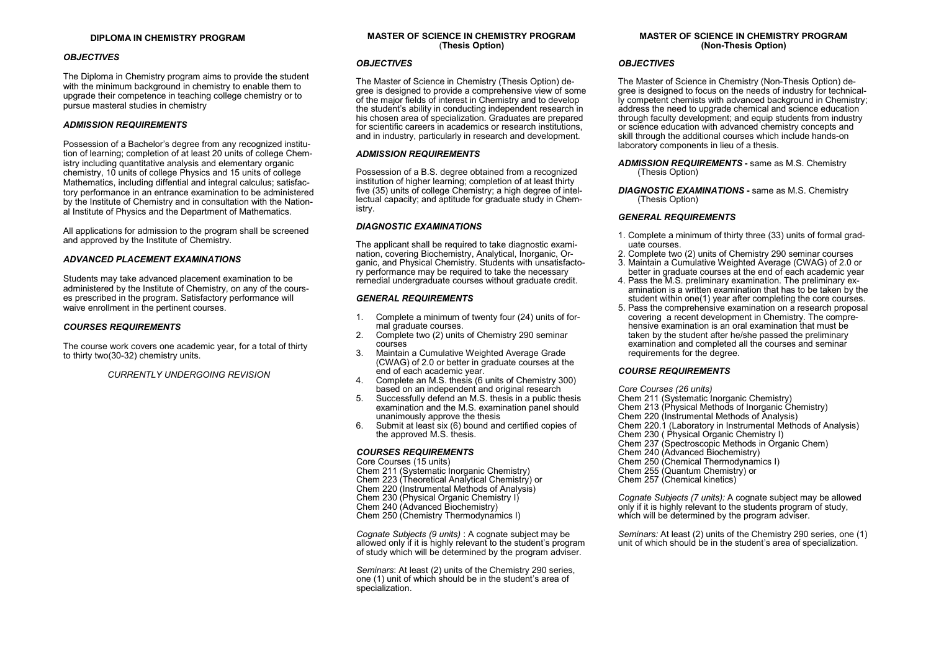#### **DIPLOMA IN CHEMISTRY PROGRAM**

#### *OBJECTIVES*

The Diploma in Chemistry program aims to provide the student with the minimum background in chemistry to enable them to upgrade their competence in teaching college chemistry or to pursue masteral studies in chemistry

#### *ADMISSION REQUIREMENTS*

Possession of a Bachelor's degree from any recognized institution of learning; completion of at least 20 units of college Chemistry including quantitative analysis and elementary organic chemistry, 10 units of college Physics and 15 units of college Mathematics, including diffential and integral calculus; satisfactory performance in an entrance examination to be administered by the Institute of Chemistry and in consultation with the National Institute of Physics and the Department of Mathematics.

All applications for admission to the program shall be screened and approved by the Institute of Chemistry.

#### *ADVANCED PLACEMENT EXAMINATIONS*

Students may take advanced placement examination to be administered by the Institute of Chemistry, on any of the courses prescribed in the program. Satisfactory performance will waive enrollment in the pertinent courses.

#### *COURSES REQUIREMENTS*

The course work covers one academic year, for a total of thirty to thirty two(30-32) chemistry units.

*CURRENTLY UNDERGOING REVISION*

#### **MASTER OF SCIENCE IN CHEMISTRY PROGRAM** (**Thesis Option)**

#### *OBJECTIVES*

The Master of Science in Chemistry (Thesis Option) degree is designed to provide a comprehensive view of some of the major fields of interest in Chemistry and to develop the student's ability in conducting independent research in his chosen area of specialization. Graduates are prepared for scientific careers in academics or research institutions, and in industry, particularly in research and development.

#### *ADMISSION REQUIREMENTS*

Possession of a B.S. degree obtained from a recognized institution of higher learning; completion of at least thirty five (35) units of college Chemistry; a high degree of intellectual capacity; and aptitude for graduate study in Chemistry.

#### *DIAGNOSTIC EXAMINATIONS*

The applicant shall be required to take diagnostic examination, covering Biochemistry, Analytical, Inorganic, Organic, and Physical Chemistry. Students with unsatisfactory performance may be required to take the necessary remedial undergraduate courses without graduate credit.

#### *GENERAL REQUIREMENTS*

- 1. Complete a minimum of twenty four (24) units of formal graduate courses.
- 2. Complete two (2) units of Chemistry 290 seminar courses
- 3. Maintain a Cumulative Weighted Average Grade (CWAG) of 2.0 or better in graduate courses at the end of each academic year.
- 4. Complete an M.S. thesis (6 units of Chemistry 300) based on an independent and original research
- 5. Successfully defend an M.S. thesis in a public thesis examination and the M.S. examination panel should unanimously approve the thesis
- 6. Submit at least six (6) bound and certified copies of the approved M.S. thesis.

#### *COURSES REQUIREMENTS*

Core Courses (15 units)

- Chem 211 (Systematic Inorganic Chemistry)
- Chem 223 (Theoretical Analytical Chemistry) or
- Chem 220 (Instrumental Methods of Analysis)
- Chem 230 (Physical Organic Chemistry I)
- Chem 240 (Advanced Biochemistry)
- Chem 250 (Chemistry Thermodynamics I)

*Cognate Subjects (9 units)* : A cognate subject may be allowed only if it is highly relevant to the student's program of study which will be determined by the program adviser.

*Seminars*: At least (2) units of the Chemistry 290 series, one (1) unit of which should be in the student's area of specialization.

#### **MASTER OF SCIENCE IN CHEMISTRY PROGRAM (Non-Thesis Option)**

#### *OBJECTIVES*

The Master of Science in Chemistry (Non-Thesis Option) degree is designed to focus on the needs of industry for technically competent chemists with advanced background in Chemistry; address the need to upgrade chemical and science education through faculty development; and equip students from industry or science education with advanced chemistry concepts and skill through the additional courses which include hands-on laboratory components in lieu of a thesis.

#### *ADMISSION REQUIREMENTS* **-** same as M.S. Chemistry (Thesis Option)

*DIAGNOSTIC EXAMINATIONS* **-** same as M.S. Chemistry (Thesis Option)

#### *GENERAL REQUIREMENTS*

- 1. Complete a minimum of thirty three (33) units of formal graduate courses.
- 2. Complete two (2) units of Chemistry 290 seminar courses
- 3. Maintain a Cumulative Weighted Average (CWAG) of 2.0 or better in graduate courses at the end of each academic year
- 4. Pass the M.S. preliminary examination. The preliminary examination is a written examination that has to be taken by the student within one(1) year after completing the core courses.
- 5. Pass the comprehensive examination on a research proposal covering a recent development in Chemistry. The comprehensive examination is an oral examination that must be taken by the student after he/she passed the preliminary examination and completed all the courses and seminar requirements for the degree.

#### *COURSE REQUIREMENTS*

*Core Courses (26 units)*

- Chem 211 (Systematic Inorganic Chemistry)
- Chem 213 (Physical Methods of Inorganic Chemistry)
- Chem 220 (Instrumental Methods of Analysis)
- Chem 220.1 (Laboratory in Instrumental Methods of Analysis)
- Chem 230 (Physical Organic Chemistry I)
- Chem 237 (Spectroscopic Methods in Organic Chem)
- Chem 240 (Advanced Biochemistry)
- Chem 250 (Chemical Thermodynamics I)
- Chem 255 (Quantum Chemistry) or
- Chem 257 (Chemical kinetics)

*Cognate Subjects (7 units):* A cognate subject may be allowed only if it is highly relevant to the students program of study, which will be determined by the program adviser.

*Seminars:* At least (2) units of the Chemistry 290 series, one (1) unit of which should be in the student's area of specialization.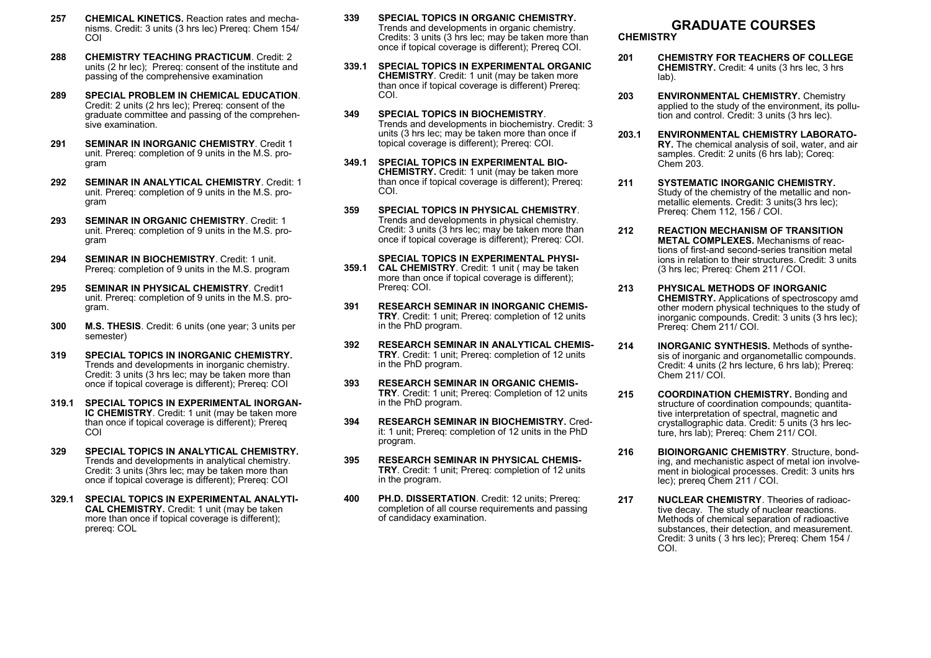- **CHEMICAL KINETICS.** Reaction rates and mechanisms. Credit: 3 units (3 hrs lec) Prereq: Chem 154/ COI **257**
- **CHEMISTRY TEACHING PRACTICUM**. Credit: 2 units (2 hr lec); Prereq: consent of the institute and passing of the comprehensive examination **288**
- **SPECIAL PROBLEM IN CHEMICAL EDUCATION**. Credit: 2 units (2 hrs lec); Prereq: consent of the graduate committee and passing of the comprehensive examination. **289**
- **SEMINAR IN INORGANIC CHEMISTRY**. Credit 1 unit. Prereq: completion of 9 units in the M.S. program **291**
- **SEMINAR IN ANALYTICAL CHEMISTRY**. Credit: 1 unit. Prereq: completion of 9 units in the M.S. program **292**
- **SEMINAR IN ORGANIC CHEMISTRY**. Credit: 1 unit. Prereq: completion of 9 units in the M.S. program **293**
- **SEMINAR IN BIOCHEMISTRY**. Credit: 1 unit. Prereq: completion of 9 units in the M.S. program **294**
- **SEMINAR IN PHYSICAL CHEMISTRY**. Credit1 unit. Prereq: completion of 9 units in the M.S. program. **295**
- **M.S. THESIS**. Credit: 6 units (one year; 3 units per semester) **300**
- **SPECIAL TOPICS IN INORGANIC CHEMISTRY.** Trends and developments in inorganic chemistry. Credit: 3 units (3 hrs lec; may be taken more than once if topical coverage is different); Prereq: COI **319**
- **SPECIAL TOPICS IN EXPERIMENTAL INORGAN-IC CHEMISTRY**. Credit: 1 unit (may be taken more than once if topical coverage is different); Prereq COI **319.1**
- **SPECIAL TOPICS IN ANALYTICAL CHEMISTRY.**  Trends and developments in analytical chemistry. Credit: 3 units (3hrs lec; may be taken more than once if topical coverage is different); Prereq: COI **329**
- **SPECIAL TOPICS IN EXPERIMENTAL ANALYTI-CAL CHEMISTRY.** Credit: 1 unit (may be taken more than once if topical coverage is different); prereq: COL **329.1**
- **SPECIAL TOPICS IN ORGANIC CHEMISTRY.** Trends and developments in organic chemistry. Credits: 3 units (3 hrs lec; may be taken more than once if topical coverage is different); Prereq COI. **339**
- **SPECIAL TOPICS IN EXPERIMENTAL ORGANIC 339.1 CHEMISTRY**. Credit: 1 unit (may be taken more than once if topical coverage is different) Prereq: COI.
- **SPECIAL TOPICS IN BIOCHEMISTRY**. Trends and developments in biochemistry. Credit: 3 units (3 hrs lec; may be taken more than once if topical coverage is different); Prereq: COI. **349**
- **SPECIAL TOPICS IN EXPERIMENTAL BIO-349.1 CHEMISTRY.** Credit: 1 unit (may be taken more than once if topical coverage is different); Prereq: COI.
- **SPECIAL TOPICS IN PHYSICAL CHEMISTRY**. Trends and developments in physical chemistry. Credit: 3 units (3 hrs lec; may be taken more than once if topical coverage is different); Prereq: COI. **359**
- **SPECIAL TOPICS IN EXPERIMENTAL PHYSI-CAL CHEMISTRY**. Credit: 1 unit ( may be taken **359.1** more than once if topical coverage is different); Prereq: COI.
- **RESEARCH SEMINAR IN INORGANIC CHEMIS-TRY**. Credit: 1 unit; Prereq: completion of 12 units in the PhD program. **391**
- **RESEARCH SEMINAR IN ANALYTICAL CHEMIS-TRY**. Credit: 1 unit; Prereq: completion of 12 units in the PhD program. **392**
- **RESEARCH SEMINAR IN ORGANIC CHEMIS-TRY**. Credit: 1 unit; Prereq: Completion of 12 units in the PhD program. **393**
- **RESEARCH SEMINAR IN BIOCHEMISTRY.** Credit: 1 unit; Prereq: completion of 12 units in the PhD program. **394**
- **RESEARCH SEMINAR IN PHYSICAL CHEMIS-TRY**. Credit: 1 unit; Prereq: completion of 12 units in the program. **395**
- **PH.D. DISSERTATION**. Credit: 12 units; Prereq: completion of all course requirements and passing of candidacy examination. **400**

### **GRADUATE COURSES**

**CHEMISTRY**

- **201 CHEMISTRY FOR TEACHERS OF COLLEGE CHEMISTRY.** Credit: 4 units (3 hrs lec, 3 hrs lab).
- **203 ENVIRONMENTAL CHEMISTRY.** Chemistry applied to the study of the environment, its pollution and control. Credit: 3 units (3 hrs lec).
- **203.1 ENVIRONMENTAL CHEMISTRY LABORATO-RY.** The chemical analysis of soil, water, and air samples. Credit: 2 units (6 hrs lab); Coreq: Chem 203.
- **211 SYSTEMATIC INORGANIC CHEMISTRY.**  Study of the chemistry of the metallic and nonmetallic elements. Credit: 3 units(3 hrs lec); Prereq: Chem 112, 156 / COI.
- **212 REACTION MECHANISM OF TRANSITION METAL COMPLEXES.** Mechanisms of reactions of first-and second-series transition metal ions in relation to their structures. Credit: 3 units (3 hrs lec; Prereq: Chem 211 / COI.
- **213 PHYSICAL METHODS OF INORGANIC CHEMISTRY.** Applications of spectroscopy amd other modern physical techniques to the study of inorganic compounds. Credit: 3 units (3 hrs lec); Prereq: Chem 211/ COI.
- **214 INORGANIC SYNTHESIS.** Methods of synthesis of inorganic and organometallic compounds. Credit: 4 units (2 hrs lecture, 6 hrs lab); Prereq: Chem 211/ COI.
- **215 COORDINATION CHEMISTRY.** Bonding and structure of coordination compounds; quantitative interpretation of spectral, magnetic and crystallographic data. Credit: 5 units (3 hrs lecture, hrs lab); Prereq: Chem 211/ COI.
- **216 BIOINORGANIC CHEMISTRY**. Structure, bonding, and mechanistic aspect of metal ion involvement in biological processes. Credit: 3 units hrs lec); prereq Chem 211 / COI.
- **217 NUCLEAR CHEMISTRY**. Theories of radioactive decay. The study of nuclear reactions. Methods of chemical separation of radioactive substances, their detection, and measurement. Credit: 3 units ( 3 hrs lec); Prereq: Chem 154 / COI.